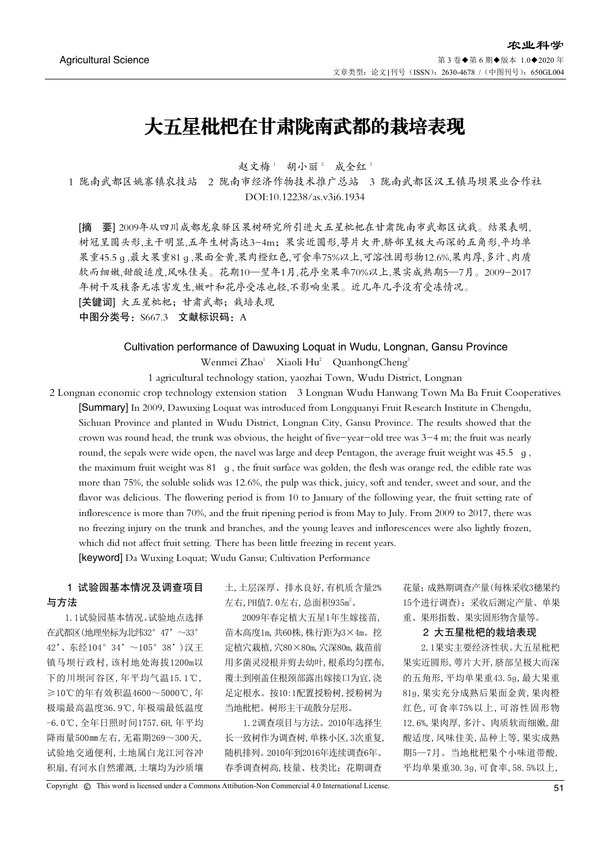# 大五星枇杷在甘肃陇南武都的栽培表现

赵文梅1 胡小丽2 成全红3

1 陇南武都区姚寨镇农技站 2 陇南市经济作物技术推广总站 3 陇南武都区汉王镇马坝果业合作社 DOI:10.12238/as.v3i6.1934

[摘 要] 2009年从四川成都龙泉驿区果树研究所引进大五星枇杷在甘肃陇南市武都区试栽。结果表明, 树冠呈圆头形,主干明显,五年生树高达3-4m;果实近圆形,萼片大开,脐部呈极大而深的五角形,平均单 果重45.5ɡ,最大果重81ɡ,果面金黄,果肉橙红色,可食率75%以上,可溶性固形物12.6%,果肉厚,多汁、肉质 软而细嫩,甜酸适度,风味佳美。花期10—翌年1月,花序坐果率70%以上,果实成熟期5—7月。2009-2017 年树干及枝条无冻害发生,嫩叶和花序受冻也轻,不影响坐果。近几年几乎没有受冻情况。 [关键词] 大五星枇杷;甘肃武都;栽培表现

中图分类号: S667.3 文献标识码: A

## Cultivation performance of Dawuxing Loquat in Wudu, Longnan, Gansu Province Wenmei Zhao<sup>1</sup> Xiaoli Hu<sup>2</sup> QuanhongCheng<sup>3</sup>

1 agricultural technology station, yaozhai Town, Wudu District, Longnan

2 Longnan economic crop technology extension station 3 Longnan Wudu Hanwang Town Ma Ba Fruit Cooperatives [Summary] In 2009, Dawuxing Loquat was introduced from Longquanyi Fruit Research Institute in Chengdu, Sichuan Province and planted in Wudu District, Longnan City, Gansu Province. The results showed that the crown was round head, the trunk was obvious, the height of five-year-old tree was 3-4 m; the fruit was nearly round, the sepals were wide open, the navel was large and deep Pentagon, the average fruit weight was 45.5 ɡ, the maximum fruit weight was 81 ɡ, the fruit surface was golden, the flesh was orange red, the edible rate was more than 75%, the soluble solids was 12.6%, the pulp was thick, juicy, soft and tender, sweet and sour, and the flavor was delicious. The flowering period is from 10 to January of the following year, the fruit setting rate of inflorescence is more than 70%, and the fruit ripening period is from May to July. From 2009 to 2017, there was no freezing injury on the trunk and branches, and the young leaves and inflorescences were also lightly frozen, which did not affect fruit setting. There has been little freezing in recent years. [keyword] Da Wuxing Loquat; Wudu Gansu; Cultivation Performance

## 1 试验园基本情况及调查项目 与方法

1.1试验园基本情况。试验地点选择 在武都区(地理坐标为北纬32°47'~33° 42'、东经104°34'~105°38')汉王 镇马坝行政村,该村地处海拔1200m以 下的川坝河谷区,年平均气温15.1℃, ≥10℃的年有效积温4600~5000℃,年 极端最高温度36.9℃,年极端最低温度 -6.0℃,全年日照时间1757.6H,年平均 降雨量500㎜左右,无霜期269~300天, 试验地交通便利,土地属白龙江河谷冲 积扇,有河水自然灌溉,土壤均为沙质壤

土,土层深厚、排水良好,有机质含量2% 左右, PH值7.0左右, 总面积935m2。

2009年春定植大五星1年生嫁接苗, 苗木高度1m,共60株,株行距为3×4m。挖 定植穴栽植,穴80×80m,穴深80m,栽苗前 用多菌灵浸根并剪去幼叶,根系均匀摆布, 覆土到刚盖住根颈部露出嫁接口为宜,浇 足定根水。按10:1配置授粉树,授粉树为 当地枇杷。树形主干疏散分层形。

1.2调查项目与方法。2010年选择生 长一致树作为调查树,单株小区,3次重复, 随机排列。2010年到2016年连续调查6年。 春季调查树高,枝量、枝类比;花期调查

花量;成熟期调查产量(每株采收3穗果约 15个进行调查);采收后测定产量、单果 重、果形指数、果实固形物含量等。

#### 2 大五星枇杷的栽培表现

2.1果实主要经济性状。大五星枇杷 果实近圆形,萼片大开,脐部呈极大而深 的五角形,平均单果重43.5ɡ,最大果重 81ɡ,果实充分成熟后果面金黄,果肉橙 红色,可食率75%以上,可溶性固形物 12.6%,果肉厚,多汁、肉质软而细嫩,甜 酸适度,风味佳美,品种上等,果实成熟 期5—7月。当地枇杷果个小味道带酸, 平均单果重30.3ɡ,可食率,58.5%以上,

Copyright  $\circledcirc$  This word is licensed under a Commons Attibution-Non Commercial 4.0 International License.  $51$